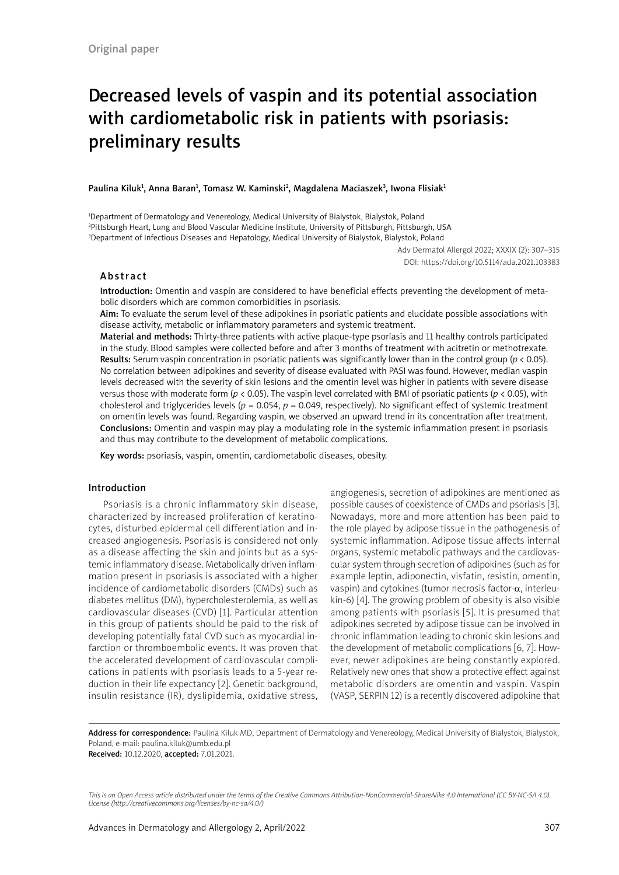# Decreased levels of vaspin and its potential association with cardiometabolic risk in patients with psoriasis: preliminary results

Paulina Kiluk<sup>1</sup>, Anna Baran<sup>1</sup>, Tomasz W. Kaminski<sup>2</sup>, Magdalena Maciaszek<sup>3</sup>, Iwona Flisiak<sup>1</sup>

1 Department of Dermatology and Venereology, Medical University of Bialystok, Bialystok, Poland 2 Pittsburgh Heart, Lung and Blood Vascular Medicine Institute, University of Pittsburgh, Pittsburgh, USA 3 Department of Infectious Diseases and Hepatology, Medical University of Bialystok, Bialystok, Poland

> Adv Dermatol Allergol 2022; XXXIX (2): 307–315 DOI: https://doi.org/10.5114/ada.2021.103383

# Abstract

Introduction: Omentin and vaspin are considered to have beneficial effects preventing the development of metabolic disorders which are common comorbidities in psoriasis.

Aim: To evaluate the serum level of these adipokines in psoriatic patients and elucidate possible associations with disease activity, metabolic or inflammatory parameters and systemic treatment.

Material and methods: Thirty-three patients with active plaque-type psoriasis and 11 healthy controls participated in the study. Blood samples were collected before and after 3 months of treatment with acitretin or methotrexate. Results: Serum vaspin concentration in psoriatic patients was significantly lower than in the control group (*p* < 0.05). No correlation between adipokines and severity of disease evaluated with PASI was found. However, median vaspin levels decreased with the severity of skin lesions and the omentin level was higher in patients with severe disease versus those with moderate form (*p* < 0.05). The vaspin level correlated with BMI of psoriatic patients (*p* < 0.05), with cholesterol and triglycerides levels ( $p = 0.054$ ,  $p = 0.049$ , respectively). No significant effect of systemic treatment on omentin levels was found. Regarding vaspin, we observed an upward trend in its concentration after treatment. Conclusions: Omentin and vaspin may play a modulating role in the systemic inflammation present in psoriasis and thus may contribute to the development of metabolic complications.

Key words: psoriasis, vaspin, omentin, cardiometabolic diseases, obesity.

#### Introduction

Psoriasis is a chronic inflammatory skin disease, characterized by increased proliferation of keratinocytes, disturbed epidermal cell differentiation and increased angiogenesis. Psoriasis is considered not only as a disease affecting the skin and joints but as a systemic inflammatory disease. Metabolically driven inflammation present in psoriasis is associated with a higher incidence of cardiometabolic disorders (CMDs) such as diabetes mellitus (DM), hypercholesterolemia, as well as cardiovascular diseases (CVD) [1]. Particular attention in this group of patients should be paid to the risk of developing potentially fatal CVD such as myocardial infarction or thromboembolic events. It was proven that the accelerated development of cardiovascular complications in patients with psoriasis leads to a 5-year reduction in their life expectancy [2]. Genetic background, insulin resistance (IR), dyslipidemia, oxidative stress, angiogenesis, secretion of adipokines are mentioned as possible causes of coexistence of CMDs and psoriasis [3]. Nowadays, more and more attention has been paid to the role played by adipose tissue in the pathogenesis of systemic inflammation. Adipose tissue affects internal organs, systemic metabolic pathways and the cardiovascular system through secretion of adipokines (such as for example leptin, adiponectin, visfatin, resistin, omentin, vaspin) and cytokines (tumor necrosis factor- $\alpha$ , interleukin-6) [4]. The growing problem of obesity is also visible among patients with psoriasis [5]. It is presumed that adipokines secreted by adipose tissue can be involved in chronic inflammation leading to chronic skin lesions and the development of metabolic complications [6, 7]. However, newer adipokines are being constantly explored. Relatively new ones that show a protective effect against metabolic disorders are omentin and vaspin. Vaspin (VASP, SERPIN 12) is a recently discovered adipokine that

Address for correspondence: Paulina Kiluk MD, Department of Dermatology and Venereology, Medical University of Bialystok, Bialystok, Poland, e-mail: paulina.kiluk@umb.edu.pl Received: 10.12.2020, accepted: 7.01.2021.

*This is an Open Access article distributed under the terms of the Creative Commons Attribution-NonCommercial-ShareAlike 4.0 International (CC BY-NC-SA 4.0).* 

*License (http://creativecommons.org/licenses/by-nc-sa/4.0/)*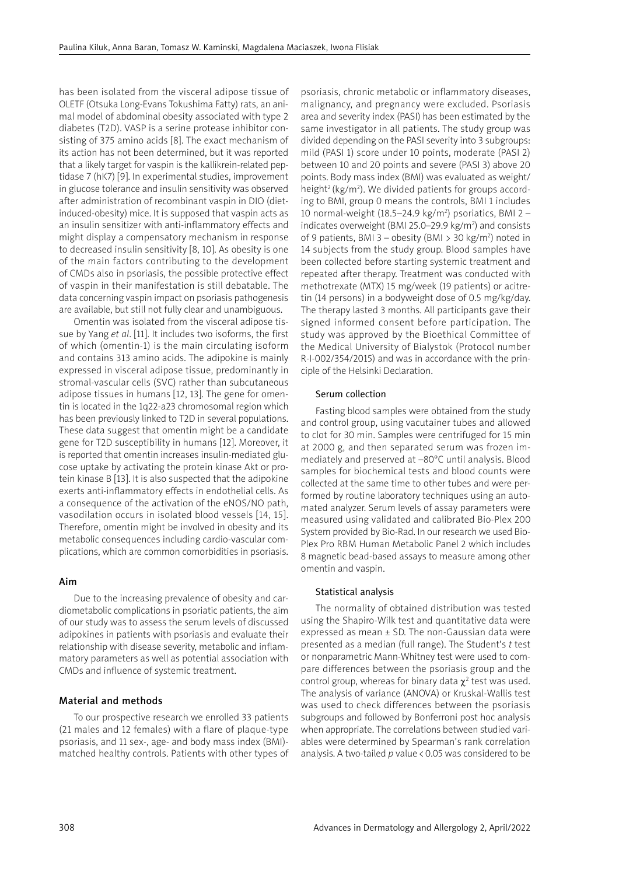has been isolated from the visceral adipose tissue of OLETF (Otsuka Long-Evans Tokushima Fatty) rats, an animal model of abdominal obesity associated with type 2 diabetes (T2D). VASP is a serine protease inhibitor consisting of 375 amino acids [8]. The exact mechanism of its action has not been determined, but it was reported that a likely target for vaspin is the kallikrein-related peptidase 7 (hK7) [9]. In experimental studies, improvement in glucose tolerance and insulin sensitivity was observed after administration of recombinant vaspin in DIO (dietinduced-obesity) mice. It is supposed that vaspin acts as an insulin sensitizer with anti-inflammatory effects and might display a compensatory mechanism in response to decreased insulin sensitivity [8, 10]. As obesity is one of the main factors contributing to the development of CMDs also in psoriasis, the possible protective effect of vaspin in their manifestation is still debatable. The data concerning vaspin impact on psoriasis pathogenesis are available, but still not fully clear and unambiguous.

Omentin was isolated from the visceral adipose tissue by Yang *et al*. [11]. It includes two isoforms, the first of which (omentin-1) is the main circulating isoform and contains 313 amino acids. The adipokine is mainly expressed in visceral adipose tissue, predominantly in stromal-vascular cells (SVC) rather than subcutaneous adipose tissues in humans [12, 13]. The gene for omentin is located in the 1q22-a23 chromosomal region which has been previously linked to T2D in several populations. These data suggest that omentin might be a candidate gene for T2D susceptibility in humans [12]. Moreover, it is reported that omentin increases insulin-mediated glucose uptake by activating the protein kinase Akt or protein kinase B [13]. It is also suspected that the adipokine exerts anti-inflammatory effects in endothelial cells. As a consequence of the activation of the eNOS/NO path, vasodilation occurs in isolated blood vessels [14, 15]. Therefore, omentin might be involved in obesity and its metabolic consequences including cardio-vascular complications, which are common comorbidities in psoriasis.

### Aim

Due to the increasing prevalence of obesity and cardiometabolic complications in psoriatic patients, the aim of our study was to assess the serum levels of discussed adipokines in patients with psoriasis and evaluate their relationship with disease severity, metabolic and inflammatory parameters as well as potential association with CMDs and influence of systemic treatment.

# Material and methods

To our prospective research we enrolled 33 patients (21 males and 12 females) with a flare of plaque-type psoriasis, and 11 sex-, age- and body mass index (BMI) matched healthy controls. Patients with other types of psoriasis, chronic metabolic or inflammatory diseases, malignancy, and pregnancy were excluded. Psoriasis area and severity index (PASI) has been estimated by the same investigator in all patients. The study group was divided depending on the PASI severity into 3 subgroups: mild (PASI 1) score under 10 points, moderate (PASI 2) between 10 and 20 points and severe (PASI 3) above 20 points. Body mass index (BMI) was evaluated as weight/ height<sup>2</sup> (kg/m<sup>2</sup>). We divided patients for groups according to BMI, group 0 means the controls, BMI 1 includes 10 normal-weight (18.5–24.9 kg/m<sup>2</sup>) psoriatics, BMI 2 – indicates overweight (BMI 25.0–29.9  $kg/m<sup>2</sup>$ ) and consists of 9 patients, BMI 3 - obesity (BMI > 30 kg/m<sup>2</sup>) noted in 14 subjects from the study group. Blood samples have been collected before starting systemic treatment and repeated after therapy. Treatment was conducted with methotrexate (MTX) 15 mg/week (19 patients) or acitretin (14 persons) in a bodyweight dose of 0.5 mg/kg/day. The therapy lasted 3 months. All participants gave their signed informed consent before participation. The study was approved by the Bioethical Committee of the Medical University of Bialystok (Protocol number R-I-002/354/2015) and was in accordance with the principle of the Helsinki Declaration.

# Serum collection

Fasting blood samples were obtained from the study and control group, using vacutainer tubes and allowed to clot for 30 min. Samples were centrifuged for 15 min at 2000 g, and then separated serum was frozen immediately and preserved at –80°C until analysis. Blood samples for biochemical tests and blood counts were collected at the same time to other tubes and were performed by routine laboratory techniques using an automated analyzer. Serum levels of assay parameters were measured using validated and calibrated Bio-Plex 200 System provided by Bio-Rad. In our research we used Bio-Plex Pro RBM Human Metabolic Panel 2 which includes 8 magnetic bead-based assays to measure among other omentin and vaspin.

#### Statistical analysis

The normality of obtained distribution was tested using the Shapiro-Wilk test and quantitative data were expressed as mean  $\pm$  SD. The non-Gaussian data were presented as a median (full range). The Student's *t* test or nonparametric Mann-Whitney test were used to compare differences between the psoriasis group and the control group, whereas for binary data  $\chi^2$  test was used. The analysis of variance (ANOVA) or Kruskal-Wallis test was used to check differences between the psoriasis subgroups and followed by Bonferroni post hoc analysis when appropriate. The correlations between studied variables were determined by Spearman's rank correlation analysis. A two-tailed p value < 0.05 was considered to be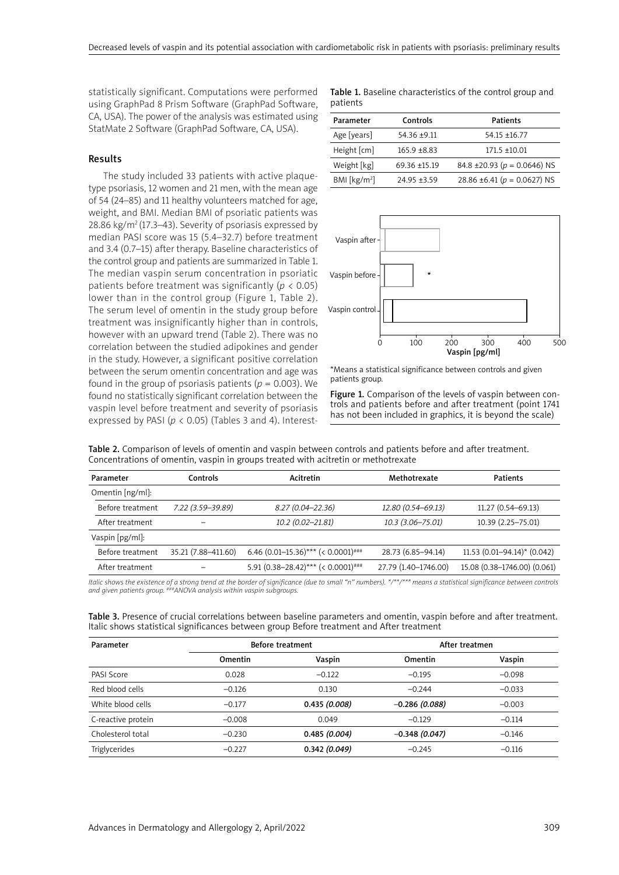statistically significant. Computations were performed using GraphPad 8 Prism Software (GraphPad Software, CA, USA). The power of the analysis was estimated using StatMate 2 Software (GraphPad Software, CA, USA).

# Results

The study included 33 patients with active plaquetype psoriasis, 12 women and 21 men, with the mean age of 54 (24–85) and 11 healthy volunteers matched for age, weight, and BMI. Median BMI of psoriatic patients was 28.86 kg/m2 (17.3–43). Severity of psoriasis expressed by median PASI score was 15 (5.4–32.7) before treatment and 3.4 (0.7–15) after therapy. Baseline characteristics of the control group and patients are summarized in Table 1. The median vaspin serum concentration in psoriatic patients before treatment was significantly (*p* < 0.05) lower than in the control group (Figure 1, Table 2). The serum level of omentin in the study group before treatment was insignificantly higher than in controls, however with an upward trend (Table 2). There was no correlation between the studied adipokines and gender in the study. However, a significant positive correlation between the serum omentin concentration and age was found in the group of psoriasis patients ( $p = 0.003$ ). We found no statistically significant correlation between the vaspin level before treatment and severity of psoriasis expressed by PASI (*p* < 0.05) (Tables 3 and 4). InterestTable 1. Baseline characteristics of the control group and patients

| Controls<br>Parameter             |                 | <b>Patients</b>                  |
|-----------------------------------|-----------------|----------------------------------|
| Age [years]                       | $54.36 + 9.11$  | $54.15 + 16.77$                  |
| Height [cm]                       | $165.9 + 8.83$  | $171.5 + 10.01$                  |
| Weight [kg]                       | $69.36 + 15.19$ | 84.8 ± 20.93 ( $p = 0.0646$ ) NS |
| BMI $\left[\frac{kg}{m^2}\right]$ | $24.95 + 3.59$  | 28.86 ±6.41 ( $p = 0.0627$ ) NS  |



\*Means a statistical significance between controls and given patients group.

Figure 1. Comparison of the levels of vaspin between controls and patients before and after treatment (point 1741 has not been included in graphics, it is beyond the scale)

|  |  |  | Table 2. Comparison of levels of omentin and vaspin between controls and patients before and after treatment. |  |  |
|--|--|--|---------------------------------------------------------------------------------------------------------------|--|--|
|  |  |  | Concentrations of omentin, vaspin in groups treated with acitretin or methotrexate                            |  |  |

| Controls<br>Parameter |                     | Acitretin                            | Methotrexate         | <b>Patients</b>               |  |
|-----------------------|---------------------|--------------------------------------|----------------------|-------------------------------|--|
| Omentin [ng/ml]:      |                     |                                      |                      |                               |  |
| Before treatment      | 7.22 (3.59-39.89)   | $8.27(0.04 - 22.36)$                 | 12.80 (0.54-69.13)   | 11.27 (0.54-69.13)            |  |
| After treatment       |                     | 10.2 (0.02-21.81)                    | 10.3 (3.06-75.01)    | 10.39 (2.25-75.01)            |  |
| Vaspin [pg/ml]:       |                     |                                      |                      |                               |  |
| Before treatment      | 35.21 (7.88-411.60) | 6.46 $(0.01-15.36)***$ (< 0.0001)### | 28.73 (6.85-94.14)   | $11.53$ (0.01-94.14)* (0.042) |  |
| After treatment       |                     | 5.91 $(0.38-28.42)***$ $(0.0001)***$ | 27.79 (1.40-1746.00) | 15.08 (0.38-1746.00) (0.061)  |  |
|                       |                     |                                      |                      |                               |  |

*Italic shows the existence of a strong trend at the border of significance (due to small "n" numbers). \*/\*\*/\*\*\* means a statistical significance between controls and given patients group. ###ANOVA analysis within vaspin subgroups.* 

| Table 3. Presence of crucial correlations between baseline parameters and omentin, vaspin before and after treatment. |  |
|-----------------------------------------------------------------------------------------------------------------------|--|
| Italic shows statistical significances between group Before treatment and After treatment                             |  |

| Parameter          | Before treatment |              | After treatmen  |          |
|--------------------|------------------|--------------|-----------------|----------|
|                    | Omentin          | Vaspin       | Omentin         | Vaspin   |
| PASI Score         | 0.028            | $-0.122$     | $-0.195$        | $-0.098$ |
| Red blood cells    | $-0.126$         | 0.130        | $-0.244$        | $-0.033$ |
| White blood cells  | $-0.177$         | 0.435(0.008) | $-0.286(0.088)$ | $-0.003$ |
| C-reactive protein | $-0.008$         | 0.049        | $-0.129$        | $-0.114$ |
| Cholesterol total  | $-0.230$         | 0.485(0.004) | $-0.348(0.047)$ | $-0.146$ |
| Triglycerides      | $-0.227$         | 0.342(0.049) | $-0.245$        | $-0.116$ |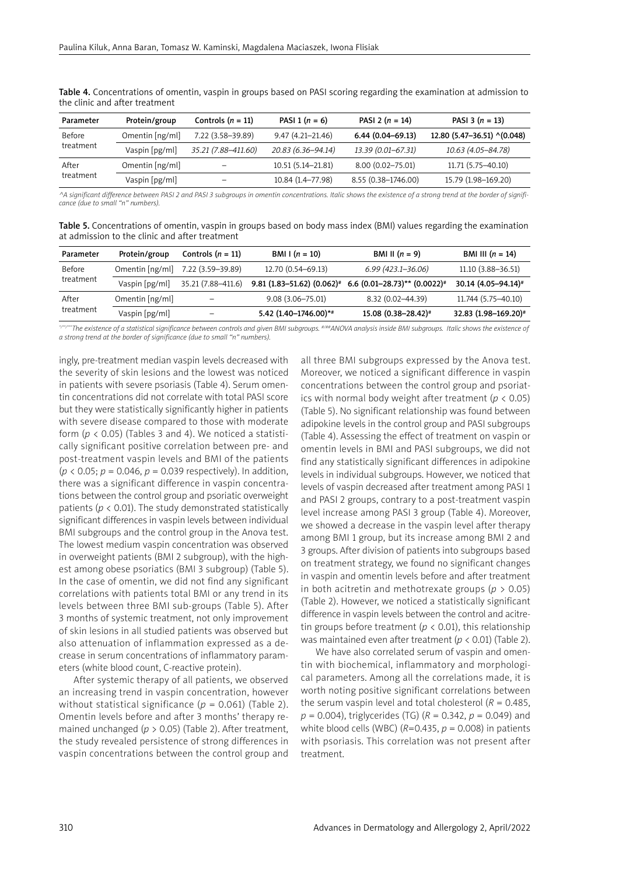| Parameter | Protein/group   | Controls $(n = 11)$ | PASI 1 $(n = 6)$     | PASI 2 $(n = 14)$    | PASI 3 $(n = 13)$           |
|-----------|-----------------|---------------------|----------------------|----------------------|-----------------------------|
| Before    | Omentin [ng/ml] | 7.22 (3.58-39.89)   | $9.47(4.21 - 21.46)$ | $6.44(0.04 - 69.13)$ | 12.80 (5.47-36.51) ^(0.048) |
| treatment | Vaspin [pg/ml]  | 35.21 (7.88-411.60) | 20.83 (6.36-94.14)   | 13.39 (0.01–67.31)   | 10.63 (4.05–84.78)          |
| After     | Omentin [ng/ml] | -                   | 10.51 (5.14-21.81)   | 8.00 (0.02-75.01)    | 11.71 (5.75-40.10)          |
| treatment | Vaspin [pg/ml]  | -                   | 10.84 (1.4-77.98)    | 8.55 (0.38-1746.00)  | 15.79 (1.98-169.20)         |

Table 4. Concentrations of omentin, vaspin in groups based on PASI scoring regarding the examination at admission to the clinic and after treatment

*^A significant difference between PASI 2 and PASI 3 subgroups in omentin concentrations. Italic shows the existence of a strong trend at the border of significance (due to small "n" numbers).*

| <b>Table 5.</b> Concentrations of omentin, vaspin in groups based on body mass index (BMI) values regarding the examination |  |  |  |  |  |
|-----------------------------------------------------------------------------------------------------------------------------|--|--|--|--|--|
| at admission to the clinic and after treatment                                                                              |  |  |  |  |  |

| Parameter | Protein/group   | Controls $(n = 11)$ | <b>BMI</b> I $(n = 10)$                  | <b>BMI II</b> $(n = 9)$            | <b>BMI III</b> $(n = 14)$       |
|-----------|-----------------|---------------------|------------------------------------------|------------------------------------|---------------------------------|
| Before    | Omentin [ng/ml] | 7.22 (3.59-39.89)   | 12.70 (0.54-69.13)                       | $6.99(423.1 - 36.06)$              | $11.10(3.88 - 36.51)$           |
| treatment | Vaspin [pg/ml]  | 35.21 (7.88–411.6)  | $9.81$ (1.83–51.62) (0.062) <sup>#</sup> | 6.6 $(0.01-28.73)$ ** $(0.0022)$ # | 30.14 (4.05-94.14) <sup>#</sup> |
| After     | Omentin [ng/ml] | -                   | $9.08(3.06 - 75.01)$                     | 8.32 (0.02-44.39)                  | 11.744 (5.75-40.10)             |
| treatment | Vaspin [pg/ml]  |                     | 5.42 (1.40-1746.00)*#                    | $15.08$ $(0.38 - 28.42)^*$         | 32.83 (1.98-169.20)#            |

*\*/\*\*/\*\*\*The existence of a statistical significance between controls and given BMI subgroups. #/##ANOVA analysis inside BMI subgroups. Italic shows the existence of a strong trend at the border of significance (due to small "n" numbers).*

ingly, pre-treatment median vaspin levels decreased with the severity of skin lesions and the lowest was noticed in patients with severe psoriasis (Table 4). Serum omentin concentrations did not correlate with total PASI score but they were statistically significantly higher in patients with severe disease compared to those with moderate form  $(p < 0.05)$  (Tables 3 and 4). We noticed a statistically significant positive correlation between pre- and post-treatment vaspin levels and BMI of the patients (*p* < 0.05; *p* = 0.046, *p* = 0.039 respectively). In addition, there was a significant difference in vaspin concentrations between the control group and psoriatic overweight patients ( $p < 0.01$ ). The study demonstrated statistically significant differences in vaspin levels between individual BMI subgroups and the control group in the Anova test. The lowest medium vaspin concentration was observed in overweight patients (BMI 2 subgroup), with the highest among obese psoriatics (BMI 3 subgroup) (Table 5). In the case of omentin, we did not find any significant correlations with patients total BMI or any trend in its levels between three BMI sub-groups (Table 5). After 3 months of systemic treatment, not only improvement of skin lesions in all studied patients was observed but also attenuation of inflammation expressed as a decrease in serum concentrations of inflammatory parameters (white blood count, C-reactive protein).

After systemic therapy of all patients, we observed an increasing trend in vaspin concentration, however without statistical significance (*p* = 0.061) (Table 2). Omentin levels before and after 3 months' therapy remained unchanged (*p* > 0.05) (Table 2). After treatment, the study revealed persistence of strong differences in vaspin concentrations between the control group and all three BMI subgroups expressed by the Anova test. Moreover, we noticed a significant difference in vaspin concentrations between the control group and psoriatics with normal body weight after treatment (*p* < 0.05) (Table 5). No significant relationship was found between adipokine levels in the control group and PASI subgroups (Table 4). Assessing the effect of treatment on vaspin or omentin levels in BMI and PASI subgroups, we did not find any statistically significant differences in adipokine levels in individual subgroups. However, we noticed that levels of vaspin decreased after treatment among PASI 1 and PASI 2 groups, contrary to a post-treatment vaspin level increase among PASI 3 group (Table 4). Moreover, we showed a decrease in the vaspin level after therapy among BMI 1 group, but its increase among BMI 2 and 3 groups. After division of patients into subgroups based on treatment strategy, we found no significant changes in vaspin and omentin levels before and after treatment in both acitretin and methotrexate groups (*p* > 0.05) (Table 2). However, we noticed a statistically significant difference in vaspin levels between the control and acitretin groups before treatment ( $p < 0.01$ ), this relationship was maintained even after treatment (*p* < 0.01) (Table 2).

We have also correlated serum of vaspin and omentin with biochemical, inflammatory and morphological parameters. Among all the correlations made, it is worth noting positive significant correlations between the serum vaspin level and total cholesterol  $(R = 0.485,$ *p* = 0.004), triglycerides (TG) (*R* = 0.342, *p* = 0.049) and white blood cells (WBC)  $(R=0.435, p = 0.008)$  in patients with psoriasis. This correlation was not present after treatment.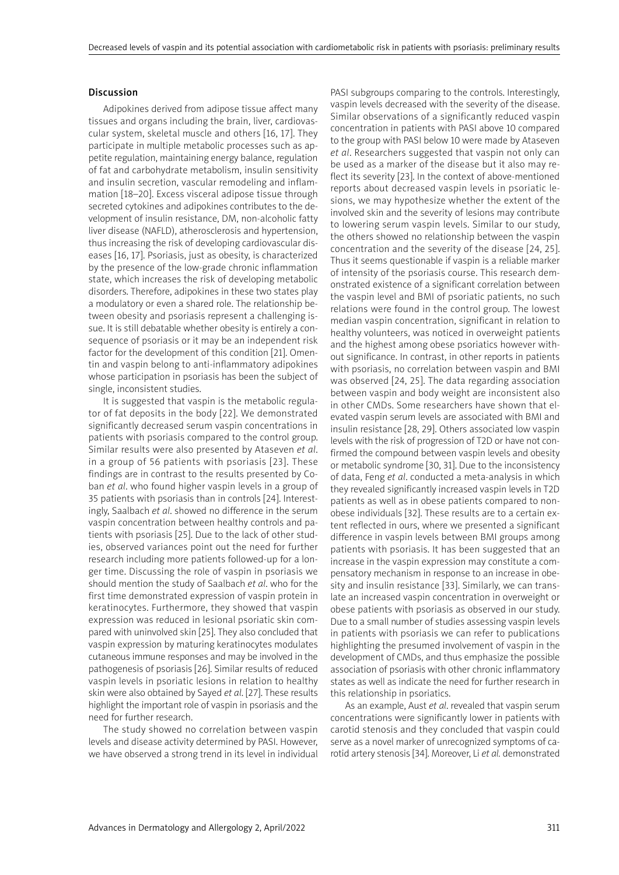#### Discussion

Adipokines derived from adipose tissue affect many tissues and organs including the brain, liver, cardiovascular system, skeletal muscle and others [16, 17]. They participate in multiple metabolic processes such as appetite regulation, maintaining energy balance, regulation of fat and carbohydrate metabolism, insulin sensitivity and insulin secretion, vascular remodeling and inflammation [18–20]. Excess visceral adipose tissue through secreted cytokines and adipokines contributes to the development of insulin resistance, DM, non-alcoholic fatty liver disease (NAFLD), atherosclerosis and hypertension, thus increasing the risk of developing cardiovascular diseases [16, 17]. Psoriasis, just as obesity, is characterized by the presence of the low-grade chronic inflammation state, which increases the risk of developing metabolic disorders. Therefore, adipokines in these two states play a modulatory or even a shared role. The relationship between obesity and psoriasis represent a challenging issue. It is still debatable whether obesity is entirely a consequence of psoriasis or it may be an independent risk factor for the development of this condition [21]. Omentin and vaspin belong to anti-inflammatory adipokines whose participation in psoriasis has been the subject of single, inconsistent studies.

It is suggested that vaspin is the metabolic regulator of fat deposits in the body [22]. We demonstrated significantly decreased serum vaspin concentrations in patients with psoriasis compared to the control group. Similar results were also presented by Ataseven *et al*. in a group of 56 patients with psoriasis [23]. These findings are in contrast to the results presented by Coban *et al*. who found higher vaspin levels in a group of 35 patients with psoriasis than in controls [24]. Interestingly, Saalbach *et al*. showed no difference in the serum vaspin concentration between healthy controls and patients with psoriasis [25]. Due to the lack of other studies, observed variances point out the need for further research including more patients followed-up for a longer time. Discussing the role of vaspin in psoriasis we should mention the study of Saalbach *et al*. who for the first time demonstrated expression of vaspin protein in keratinocytes. Furthermore, they showed that vaspin expression was reduced in lesional psoriatic skin compared with uninvolved skin [25]. They also concluded that vaspin expression by maturing keratinocytes modulates cutaneous immune responses and may be involved in the pathogenesis of psoriasis [26]. Similar results of reduced vaspin levels in psoriatic lesions in relation to healthy skin were also obtained by Sayed *et al*. [27]. These results highlight the important role of vaspin in psoriasis and the need for further research.

The study showed no correlation between vaspin levels and disease activity determined by PASI. However, we have observed a strong trend in its level in individual PASI subgroups comparing to the controls. Interestingly, vaspin levels decreased with the severity of the disease. Similar observations of a significantly reduced vaspin concentration in patients with PASI above 10 compared to the group with PASI below 10 were made by Ataseven *et al*. Researchers suggested that vaspin not only can be used as a marker of the disease but it also may reflect its severity [23]. In the context of above-mentioned reports about decreased vaspin levels in psoriatic lesions, we may hypothesize whether the extent of the involved skin and the severity of lesions may contribute to lowering serum vaspin levels. Similar to our study, the others showed no relationship between the vaspin concentration and the severity of the disease [24, 25]. Thus it seems questionable if vaspin is a reliable marker of intensity of the psoriasis course. This research demonstrated existence of a significant correlation between the vaspin level and BMI of psoriatic patients, no such relations were found in the control group. The lowest median vaspin concentration, significant in relation to healthy volunteers, was noticed in overweight patients and the highest among obese psoriatics however without significance. In contrast, in other reports in patients with psoriasis, no correlation between vaspin and BMI was observed [24, 25]. The data regarding association between vaspin and body weight are inconsistent also in other CMDs. Some researchers have shown that elevated vaspin serum levels are associated with BMI and insulin resistance [28, 29]. Others associated low vaspin levels with the risk of progression of T2D or have not confirmed the compound between vaspin levels and obesity or metabolic syndrome [30, 31]. Due to the inconsistency of data, Feng *et al*. conducted a meta-analysis in which they revealed significantly increased vaspin levels in T2D patients as well as in obese patients compared to nonobese individuals [32]. These results are to a certain extent reflected in ours, where we presented a significant difference in vaspin levels between BMI groups among patients with psoriasis. It has been suggested that an increase in the vaspin expression may constitute a compensatory mechanism in response to an increase in obesity and insulin resistance [33]. Similarly, we can translate an increased vaspin concentration in overweight or obese patients with psoriasis as observed in our study. Due to a small number of studies assessing vaspin levels in patients with psoriasis we can refer to publications highlighting the presumed involvement of vaspin in the development of CMDs, and thus emphasize the possible association of psoriasis with other chronic inflammatory states as well as indicate the need for further research in this relationship in psoriatics.

As an example, Aust *et al*. revealed that vaspin serum concentrations were significantly lower in patients with carotid stenosis and they concluded that vaspin could serve as a novel marker of unrecognized symptoms of carotid artery stenosis [34]. Moreover, Li *et al.* demonstrated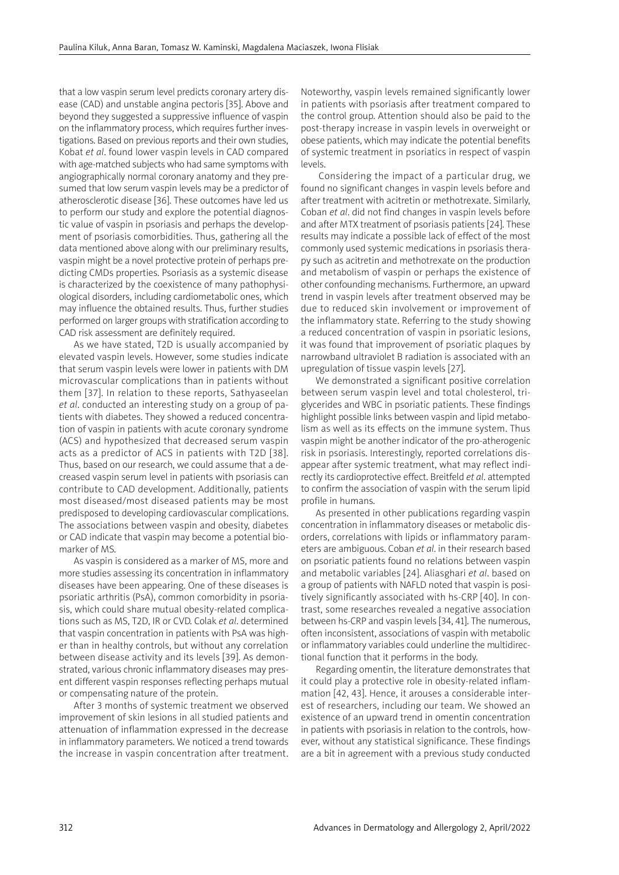that a low vaspin serum level predicts coronary artery disease (CAD) and unstable angina pectoris [35]. Above and beyond they suggested a suppressive influence of vaspin on the inflammatory process, which requires further investigations. Based on previous reports and their own studies, Kobat *et al*. found lower vaspin levels in CAD compared with age-matched subjects who had same symptoms with angiographically normal coronary anatomy and they presumed that low serum vaspin levels may be a predictor of atherosclerotic disease [36]. These outcomes have led us to perform our study and explore the potential diagnostic value of vaspin in psoriasis and perhaps the development of psoriasis comorbidities. Thus, gathering all the data mentioned above along with our preliminary results, vaspin might be a novel protective protein of perhaps predicting CMDs properties. Psoriasis as a systemic disease is characterized by the coexistence of many pathophysiological disorders, including cardiometabolic ones, which may influence the obtained results. Thus, further studies performed on larger groups with stratification according to CAD risk assessment are definitely required.

As we have stated, T2D is usually accompanied by elevated vaspin levels. However, some studies indicate that serum vaspin levels were lower in patients with DM microvascular complications than in patients without them [37]. In relation to these reports, Sathyaseelan *et al*. conducted an interesting study on a group of patients with diabetes. They showed a reduced concentration of vaspin in patients with acute coronary syndrome (ACS) and hypothesized that decreased serum vaspin acts as a predictor of ACS in patients with T2D [38]. Thus, based on our research, we could assume that a decreased vaspin serum level in patients with psoriasis can contribute to CAD development. Additionally, patients most diseased/most diseased patients may be most predisposed to developing cardiovascular complications. The associations between vaspin and obesity, diabetes or CAD indicate that vaspin may become a potential biomarker of MS.

As vaspin is considered as a marker of MS, more and more studies assessing its concentration in inflammatory diseases have been appearing. One of these diseases is psoriatic arthritis (PsA), common comorbidity in psoriasis, which could share mutual obesity-related complications such as MS, T2D, IR or CVD. Colak *et al*. determined that vaspin concentration in patients with PsA was higher than in healthy controls, but without any correlation between disease activity and its levels [39]. As demonstrated, various chronic inflammatory diseases may present different vaspin responses reflecting perhaps mutual or compensating nature of the protein.

After 3 months of systemic treatment we observed improvement of skin lesions in all studied patients and attenuation of inflammation expressed in the decrease in inflammatory parameters. We noticed a trend towards the increase in vaspin concentration after treatment.

Noteworthy, vaspin levels remained significantly lower in patients with psoriasis after treatment compared to the control group. Attention should also be paid to the post-therapy increase in vaspin levels in overweight or obese patients, which may indicate the potential benefits of systemic treatment in psoriatics in respect of vaspin levels.

 Considering the impact of a particular drug, we found no significant changes in vaspin levels before and after treatment with acitretin or methotrexate. Similarly, Coban *et al*. did not find changes in vaspin levels before and after MTX treatment of psoriasis patients [24]. These results may indicate a possible lack of effect of the most commonly used systemic medications in psoriasis therapy such as acitretin and methotrexate on the production and metabolism of vaspin or perhaps the existence of other confounding mechanisms. Furthermore, an upward trend in vaspin levels after treatment observed may be due to reduced skin involvement or improvement of the inflammatory state. Referring to the study showing a reduced concentration of vaspin in psoriatic lesions, it was found that improvement of psoriatic plaques by narrowband ultraviolet B radiation is associated with an upregulation of tissue vaspin levels [27].

We demonstrated a significant positive correlation between serum vaspin level and total cholesterol, triglycerides and WBC in psoriatic patients. These findings highlight possible links between vaspin and lipid metabolism as well as its effects on the immune system. Thus vaspin might be another indicator of the pro-atherogenic risk in psoriasis. Interestingly, reported correlations disappear after systemic treatment, what may reflect indirectly its cardioprotective effect. Breitfeld *et al*. attempted to confirm the association of vaspin with the serum lipid profile in humans.

As presented in other publications regarding vaspin concentration in inflammatory diseases or metabolic disorders, correlations with lipids or inflammatory parameters are ambiguous. Coban *et al*. in their research based on psoriatic patients found no relations between vaspin and metabolic variables [24]. Aliasghari *et al*. based on a group of patients with NAFLD noted that vaspin is positively significantly associated with hs-CRP [40]. In contrast, some researches revealed a negative association between hs-CRP and vaspin levels [34, 41]. The numerous, often inconsistent, associations of vaspin with metabolic or inflammatory variables could underline the multidirectional function that it performs in the body.

Regarding omentin, the literature demonstrates that it could play a protective role in obesity-related inflammation [42, 43]. Hence, it arouses a considerable interest of researchers, including our team. We showed an existence of an upward trend in omentin concentration in patients with psoriasis in relation to the controls, however, without any statistical significance. These findings are a bit in agreement with a previous study conducted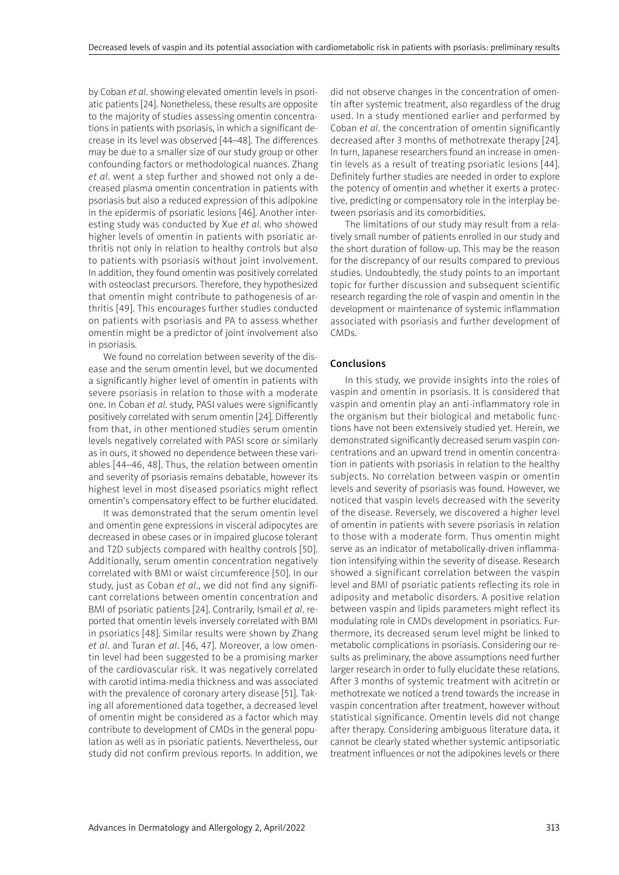by Coban *et al*. showing elevated omentin levels in psoriatic patients [24]. Nonetheless, these results are opposite to the majority of studies assessing omentin concentrations in patients with psoriasis, in which a significant decrease in its level was observed [44–48]. The differences may be due to a smaller size of our study group or other confounding factors or methodological nuances. Zhang *et al*. went a step further and showed not only a decreased plasma omentin concentration in patients with psoriasis but also a reduced expression of this adipokine in the epidermis of psoriatic lesions [46]. Another interesting study was conducted by Xue *et al*. who showed higher levels of omentin in patients with psoriatic arthritis not only in relation to healthy controls but also to patients with psoriasis without joint involvement. In addition, they found omentin was positively correlated with osteoclast precursors. Therefore, they hypothesized that omentin might contribute to pathogenesis of arthritis [49]. This encourages further studies conducted on patients with psoriasis and PA to assess whether omentin might be a predictor of joint involvement also in psoriasis.

We found no correlation between severity of the disease and the serum omentin level, but we documented a significantly higher level of omentin in patients with severe psoriasis in relation to those with a moderate one. In Coban *et al*. study, PASI values were significantly positively correlated with serum omentin [24]. Differently from that, in other mentioned studies serum omentin levels negatively correlated with PASI score or similarly as in ours, it showed no dependence between these variables [44–46, 48]. Thus, the relation between omentin and severity of psoriasis remains debatable, however its highest level in most diseased psoriatics might reflect omentin's compensatory effect to be further elucidated.

It was demonstrated that the serum omentin level and omentin gene expressions in visceral adipocytes are decreased in obese cases or in impaired glucose tolerant and T2D subjects compared with healthy controls [50]. Additionally, serum omentin concentration negatively correlated with BMI or waist circumference [50]. In our study, just as Coban *et al*., we did not find any significant correlations between omentin concentration and BMI of psoriatic patients [24]. Contrarily, Ismail *et al*. reported that omentin levels inversely correlated with BMI in psoriatics [48]. Similar results were shown by Zhang *et al*. and Turan *et al*. [46, 47]. Moreover, a low omentin level had been suggested to be a promising marker of the cardiovascular risk. It was negatively correlated with carotid intima-media thickness and was associated with the prevalence of coronary artery disease [51]. Taking all aforementioned data together, a decreased level of omentin might be considered as a factor which may contribute to development of CMDs in the general population as well as in psoriatic patients. Nevertheless, our study did not confirm previous reports. In addition, we

did not observe changes in the concentration of omentin after systemic treatment, also regardless of the drug used. In a study mentioned earlier and performed by Coban *et al*. the concentration of omentin significantly decreased after 3 months of methotrexate therapy [24]. In turn, Japanese researchers found an increase in omentin levels as a result of treating psoriatic lesions [44]. Definitely further studies are needed in order to explore the potency of omentin and whether it exerts a protective, predicting or compensatory role in the interplay between psoriasis and its comorbidities.

The limitations of our study may result from a relatively small number of patients enrolled in our study and the short duration of follow-up. This may be the reason for the discrepancy of our results compared to previous studies. Undoubtedly, the study points to an important topic for further discussion and subsequent scientific research regarding the role of vaspin and omentin in the development or maintenance of systemic inflammation associated with psoriasis and further development of CMDs.

# Conclusions

In this study, we provide insights into the roles of vaspin and omentin in psoriasis. It is considered that vaspin and omentin play an anti-inflammatory role in the organism but their biological and metabolic functions have not been extensively studied yet. Herein, we demonstrated significantly decreased serum vaspin concentrations and an upward trend in omentin concentration in patients with psoriasis in relation to the healthy subjects. No correlation between vaspin or omentin levels and severity of psoriasis was found. However, we noticed that vaspin levels decreased with the severity of the disease. Reversely, we discovered a higher level of omentin in patients with severe psoriasis in relation to those with a moderate form. Thus omentin might serve as an indicator of metabolically-driven inflammation intensifying within the severity of disease. Research showed a significant correlation between the vaspin level and BMI of psoriatic patients reflecting its role in adiposity and metabolic disorders. A positive relation between vaspin and lipids parameters might reflect its modulating role in CMDs development in psoriatics. Furthermore, its decreased serum level might be linked to metabolic complications in psoriasis. Considering our results as preliminary, the above assumptions need further larger research in order to fully elucidate these relations. After 3 months of systemic treatment with acitretin or methotrexate we noticed a trend towards the increase in vaspin concentration after treatment, however without statistical significance. Omentin levels did not change after therapy. Considering ambiguous literature data, it cannot be clearly stated whether systemic antipsoriatic treatment influences or not the adipokines levels or there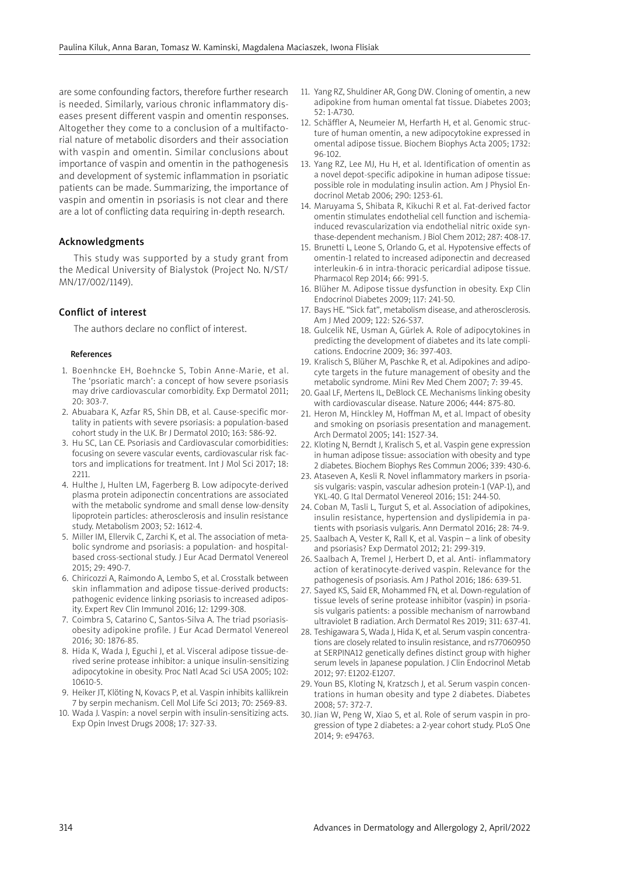are some confounding factors, therefore further research is needed. Similarly, various chronic inflammatory diseases present different vaspin and omentin responses. Altogether they come to a conclusion of a multifactorial nature of metabolic disorders and their association with vaspin and omentin. Similar conclusions about importance of vaspin and omentin in the pathogenesis and development of systemic inflammation in psoriatic patients can be made. Summarizing, the importance of vaspin and omentin in psoriasis is not clear and there are a lot of conflicting data requiring in-depth research.

#### Acknowledgments

This study was supported by a study grant from the Medical University of Bialystok (Project No. N/ST/ MN/17/002/1149).

## Conflict of interest

The authors declare no conflict of interest.

#### References

- 1. Boenhncke EH, Boehncke S, Tobin Anne-Marie, et al. The 'psoriatic march': a concept of how severe psoriasis may drive cardiovascular comorbidity. Exp Dermatol 2011; 20: 303-7.
- 2. Abuabara K, Azfar RS, Shin DB, et al. Cause-specific mortality in patients with severe psoriasis: a population-based cohort study in the U.K. Br J Dermatol 2010; 163: 586-92.
- 3. Hu SC, Lan CE. Psoriasis and Cardiovascular comorbidities: focusing on severe vascular events, cardiovascular risk factors and implications for treatment. Int J Mol Sci 2017; 18: 2211.
- 4. Hulthe J, Hulten LM, Fagerberg B. Low adipocyte-derived plasma protein adiponectin concentrations are associated with the metabolic syndrome and small dense low-density lipoprotein particles: atherosclerosis and insulin resistance study. Metabolism 2003; 52: 1612-4.
- 5. Miller IM, Ellervik C, Zarchi K, et al. The association of metabolic syndrome and psoriasis: a population- and hospitalbased cross-sectional study. J Eur Acad Dermatol Venereol 2015; 29: 490-7.
- 6. Chiricozzi A, Raimondo A, Lembo S, et al. Crosstalk between skin inflammation and adipose tissue-derived products: pathogenic evidence linking psoriasis to increased adiposity. Expert Rev Clin Immunol 2016; 12: 1299-308.
- 7. Coimbra S, Catarino C, Santos-Silva A. The triad psoriasisobesity adipokine profile. J Eur Acad Dermatol Venereol 2016; 30: 1876-85.
- 8. Hida K, Wada J, Eguchi J, et al. Visceral adipose tissue-derived serine protease inhibitor: a unique insulin-sensitizing adipocytokine in obesity. Proc Natl Acad Sci USA 2005; 102: 10610-5.
- 9. Heiker JT, Klöting N, Kovacs P, et al. Vaspin inhibits kallikrein 7 by serpin mechanism. Cell Mol Life Sci 2013; 70: 2569-83.
- 10. Wada J. Vaspin: a novel serpin with insulin-sensitizing acts. Exp Opin Invest Drugs 2008; 17: 327-33.
- 11. Yang RZ, Shuldiner AR, Gong DW. Cloning of omentin, a new adipokine from human omental fat tissue. Diabetes 2003; 52: 1-A730.
- 12. Schäffler A, Neumeier M, Herfarth H, et al. Genomic structure of human omentin, a new adipocytokine expressed in omental adipose tissue. Biochem Biophys Acta 2005; 1732: 96-102.
- 13. Yang RZ, Lee MJ, Hu H, et al. Identification of omentin as a novel depot-specific adipokine in human adipose tissue: possible role in modulating insulin action. Am J Physiol Endocrinol Metab 2006; 290: 1253-61.
- 14. Maruyama S, Shibata R, Kikuchi R et al. Fat-derived factor omentin stimulates endothelial cell function and ischemiainduced revascularization via endothelial nitric oxide synthase-dependent mechanism. J Biol Chem 2012; 287: 408-17.
- 15. Brunetti L, Leone S, Orlando G, et al. Hypotensive effects of omentin-1 related to increased adiponectin and decreased interleukin-6 in intra-thoracic pericardial adipose tissue. Pharmacol Rep 2014; 66: 991-5.
- 16. Blüher M. Adipose tissue dysfunction in obesity. Exp Clin Endocrinol Diabetes 2009; 117: 241-50.
- 17. Bays HE. "Sick fat", metabolism disease, and atherosclerosis. Am J Med 2009; 122: S26-S37.
- 18. Gulcelik NE, Usman A, Gürlek A. Role of adipocytokines in predicting the development of diabetes and its late complications. Endocrine 2009; 36: 397-403.
- 19. Kralisch S, Blüher M, Paschke R, et al. Adipokines and adipocyte targets in the future management of obesity and the metabolic syndrome. Mini Rev Med Chem 2007; 7: 39-45.
- 20. Gaal LF, Mertens IL, DeBlock CE. Mechanisms linking obesity with cardiovascular disease. Nature 2006; 444: 875-80.
- 21. Heron M, Hinckley M, Hoffman M, et al. Impact of obesity and smoking on psoriasis presentation and management. Arch Dermatol 2005; 141: 1527-34.
- 22. Kloting N, Berndt J, Kralisch S, et al. Vaspin gene expression in human adipose tissue: association with obesity and type 2 diabetes. Biochem Biophys Res Commun 2006; 339: 430-6.
- 23. Ataseven A, Kesli R. Novel inflammatory markers in psoriasis vulgaris: vaspin, vascular adhesion protein-1 (VAP-1), and YKL-40. G Ital Dermatol Venereol 2016; 151: 244-50.
- 24. Coban M, Tasli L, Turgut S, et al. Association of adipokines, insulin resistance, hypertension and dyslipidemia in patients with psoriasis vulgaris. Ann Dermatol 2016; 28: 74-9.
- 25. Saalbach A, Vester K, Rall K, et al. Vaspin a link of obesity and psoriasis? Exp Dermatol 2012; 21: 299-319.
- 26. Saalbach A, Tremel J, Herbert D, et al. Anti- inflammatory action of keratinocyte-derived vaspin. Relevance for the pathogenesis of psoriasis. Am J Pathol 2016; 186: 639-51.
- 27. Sayed KS, Said ER, Mohammed FN, et al. Down-regulation of tissue levels of serine protease inhibitor (vaspin) in psoriasis vulgaris patients: a possible mechanism of narrowband ultraviolet B radiation. Arch Dermatol Res 2019; 311: 637-41.
- 28. Teshigawara S, Wada J, Hida K, et al. Serum vaspin concentrations are closely related to insulin resistance, and rs77060950 at SERPINA12 genetically defines distinct group with higher serum levels in Japanese population. J Clin Endocrinol Metab 2012; 97: E1202-E1207.
- 29. Youn BS, Kloting N, Kratzsch J, et al. Serum vaspin concentrations in human obesity and type 2 diabetes. Diabetes 2008; 57: 372-7.
- 30. Jian W, Peng W, Xiao S, et al. Role of serum vaspin in progression of type 2 diabetes: a 2-year cohort study. PLoS One 2014; 9: e94763.